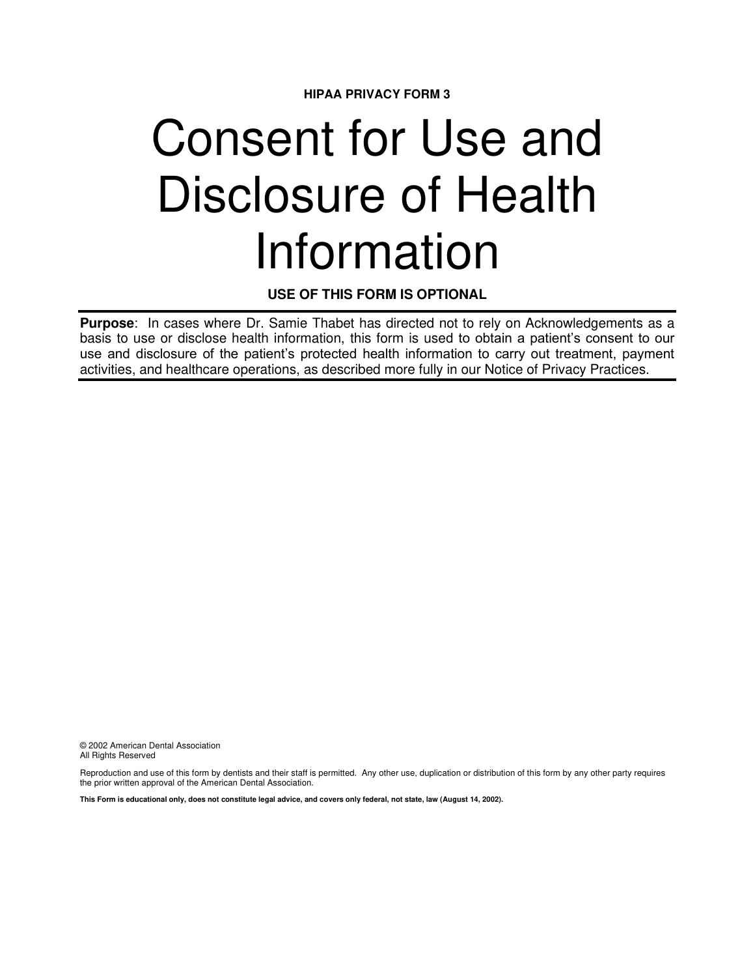# Consent for Use and Disclosure of Health Information

**USE OF THIS FORM IS OPTIONAL**

**Purpose:** In cases where Dr. Samie Thabet has directed not to rely on Acknowledgements as a basis to use or disclose health information, this form is used to obtain a patient's consent to our use and disclosure of the patient's protected health information to carry out treatment, payment activities, and healthcare operations, as described more fully in our Notice of Privacy Practices.

© 2002 American Dental Association All Rights Reserved

Reproduction and use of this form by dentists and their staff is permitted. Any other use, duplication or distribution of this form by any other party requires the prior written approval of the American Dental Association.

**This Form is educational only, does not constitute legal advice, and covers only federal, not state, law (August 14, 2002).**